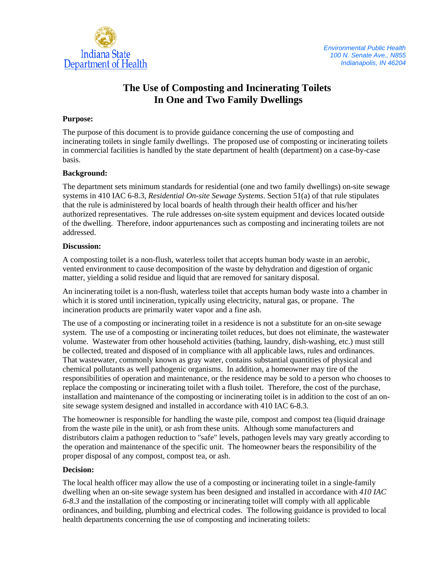

# **The Use of Composting and Incinerating Toilets In One and Two Family Dwellings**

## **Purpose:**

The purpose of this document is to provide guidance concerning the use of composting and incinerating toilets in single family dwellings. The proposed use of composting or incinerating toilets in commercial facilities is handled by the state department of health (department) on a case-by-case basis.

## **Background:**

The department sets minimum standards for residential (one and two family dwellings) on-site sewage systems in 410 IAC 6-8.3, *Residential On-site Sewage Systems*. Section 51(a) of that rule stipulates that the rule is administered by local boards of health through their health officer and his/her authorized representatives. The rule addresses on-site system equipment and devices located outside of the dwelling. Therefore, indoor appurtenances such as composting and incinerating toilets are not addressed.

## **Discussion:**

A composting toilet is a non-flush, waterless toilet that accepts human body waste in an aerobic, vented environment to cause decomposition of the waste by dehydration and digestion of organic matter, yielding a solid residue and liquid that are removed for sanitary disposal.

An incinerating toilet is a non-flush, waterless toilet that accepts human body waste into a chamber in which it is stored until incineration, typically using electricity, natural gas, or propane. The incineration products are primarily water vapor and a fine ash.

The use of a composting or incinerating toilet in a residence is not a substitute for an on-site sewage system. The use of a composting or incinerating toilet reduces, but does not eliminate, the wastewater volume. Wastewater from other household activities (bathing, laundry, dish-washing, etc.) must still be collected, treated and disposed of in compliance with all applicable laws, rules and ordinances. That wastewater, commonly known as gray water, contains substantial quantities of physical and chemical pollutants as well pathogenic organisms. In addition, a homeowner may tire of the responsibilities of operation and maintenance, or the residence may be sold to a person who chooses to replace the composting or incinerating toilet with a flush toilet. Therefore, the cost of the purchase, installation and maintenance of the composting or incinerating toilet is in addition to the cost of an onsite sewage system designed and installed in accordance with 410 IAC 6-8.3.

The homeowner is responsible for handling the waste pile, compost and compost tea (liquid drainage from the waste pile in the unit), or ash from these units. Although some manufacturers and distributors claim a pathogen reduction to "safe" levels, pathogen levels may vary greatly according to the operation and maintenance of the specific unit. The homeowner bears the responsibility of the proper disposal of any compost, compost tea, or ash.

### **Decision:**

The local health officer may allow the use of a composting or incinerating toilet in a single-family dwelling when an on-site sewage system has been designed and installed in accordance with *410 IAC 6-8.3* and the installation of the composting or incinerating toilet will comply with all applicable ordinances, and building, plumbing and electrical codes. The following guidance is provided to local health departments concerning the use of composting and incinerating toilets: